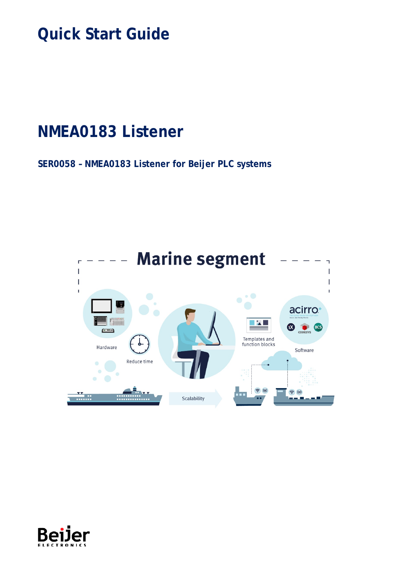# **Quick Start Guide**

# **NMEA0183 Listener**

**SER0058 – NMEA0183 Listener for Beijer PLC systems**



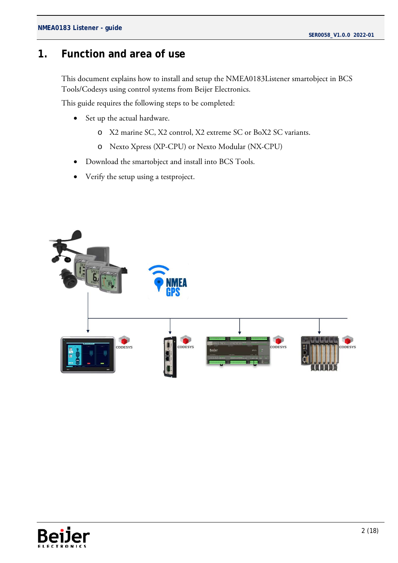# <span id="page-1-0"></span>**1. Function and area of use**

This document explains how to install and setup the NMEA0183Listener smartobject in BCS Tools/Codesys using control systems from Beijer Electronics.

This guide requires the following steps to be completed:

- Set up the actual hardware.
	- o X2 marine SC, X2 control, X2 extreme SC or BoX2 SC variants.
	- o Nexto Xpress (XP-CPU) or Nexto Modular (NX-CPU)
- Download the smartobject and install into BCS Tools.
- Verify the setup using a testproject.



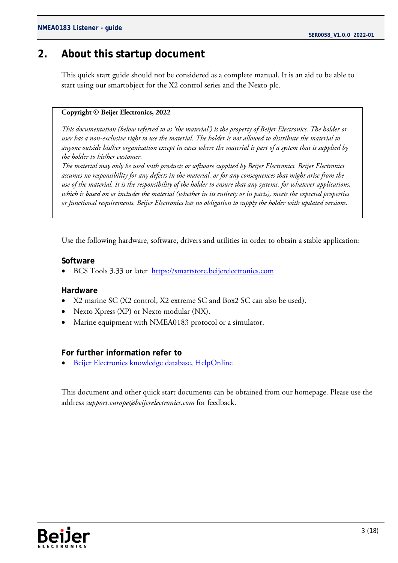# <span id="page-2-0"></span>**2. About this startup document**

This quick start guide should not be considered as a complete manual. It is an aid to be able to start using our smartobject for the X2 control series and the Nexto plc.

#### **Copyright © Beijer Electronics, 2022**

*This documentation (below referred to as 'the material') is the property of Beijer Electronics. The holder or user has a non-exclusive right to use the material. The holder is not allowed to distribute the material to anyone outside his/her organization except in cases where the material is part of a system that is supplied by the holder to his/her customer.* 

*The material may only be used with products or software supplied by Beijer Electronics. Beijer Electronics assumes no responsibility for any defects in the material, or for any consequences that might arise from the use of the material. It is the responsibility of the holder to ensure that any systems, for whatever applications, which is based on or includes the material (whether in its entirety or in parts), meets the expected properties or functional requirements. Beijer Electronics has no obligation to supply the holder with updated versions.*

Use the following hardware, software, drivers and utilities in order to obtain a stable application:

#### **Software**

• BCS Tools 3.33 or later [https://smartstore.beijerelectronics.com](https://smartstore.beijerelectronics.com/)

#### **Hardware**

- X2 marine SC (X2 control, X2 extreme SC and Box2 SC can also be used).
- Nexto Xpress (XP) or Nexto modular (NX).
- Marine equipment with NMEA0183 protocol or a simulator.

#### **For further information refer to**

[Beijer Electronics knowledge database, HelpOnline](https://www.beijerelectronics.se/sv-SE/Support/file-archive-tree-page)

This document and other quick start documents can be obtained from our homepage. Please use the address *support.europe@beijerelectronics.com* for feedback.

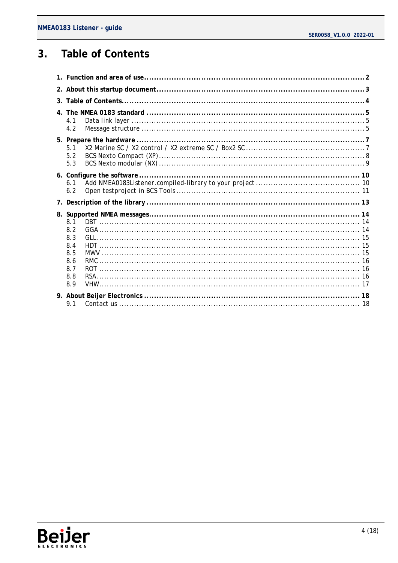#### <span id="page-3-0"></span>**Table of Contents**  $3.$

| 4.1<br>4.2                                                  |  |
|-------------------------------------------------------------|--|
| 5.1<br>5.2<br>5.3                                           |  |
| 6.1<br>6.2                                                  |  |
|                                                             |  |
| 8.1<br>8.2<br>8.3<br>8.4<br>8.5<br>8.6<br>8.7<br>8.8<br>8.9 |  |
| 9.1                                                         |  |

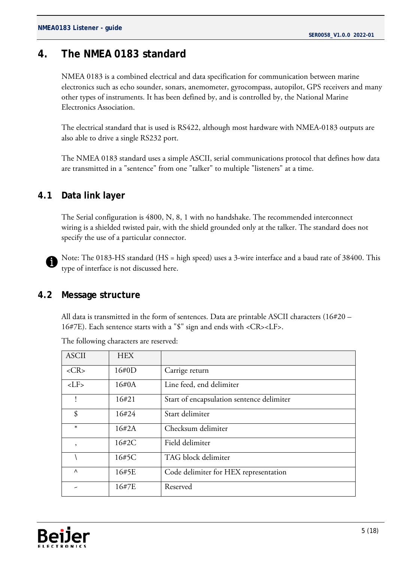# <span id="page-4-0"></span>**4. The NMEA 0183 standard**

NMEA 0183 is a combined electrical and data specification for communication between marine electronics such as echo sounder, sonars, anemometer, gyrocompass, autopilot, GPS receivers and many other types of instruments. It has been defined by, and is controlled by, the National Marine Electronics Association.

The electrical standard that is used is RS422, although most hardware with NMEA-0183 outputs are also able to drive a single RS232 port.

The NMEA 0183 standard uses a simple ASCII, serial communications protocol that defines how data are transmitted in a "sentence" from one "talker" to multiple "listeners" at a time.

#### <span id="page-4-1"></span>**4.1 Data link layer**

The Serial configuration is 4800, N, 8, 1 with no handshake. The recommended interconnect wiring is a shielded twisted pair, with the shield grounded only at the talker. The standard does not specify the use of a particular connector.



Note: The 0183-HS standard (HS = high speed) uses a 3-wire interface and a baud rate of 38400. This type of interface is not discussed here.

#### <span id="page-4-2"></span>**4.2 Message structure**

All data is transmitted in the form of sentences. Data are printable ASCII characters (16#20 – 16#7E). Each sentence starts with a "\$" sign and ends with <CR><LF>.

| <b>ASCII</b>             | <b>HEX</b> |                                           |
|--------------------------|------------|-------------------------------------------|
| $<$ CR>                  | $16\#0D$   | Carrige return                            |
| $<$ LF $>$               | $16\#0A$   | Line feed, end delimiter                  |
|                          | 16#21      | Start of encapsulation sentence delimiter |
| \$                       | 16#24      | Start delimiter                           |
| $\ast$                   | $16\#2A$   | Checksum delimiter                        |
| $\cdot$                  | 16#2C      | Field delimiter                           |
|                          | 16#5C      | TAG block delimiter                       |
| $\wedge$                 | 16#5E      | Code delimiter for HEX representation     |
| $\overline{\phantom{0}}$ | 16#7E      | Reserved                                  |

The following characters are reserved:

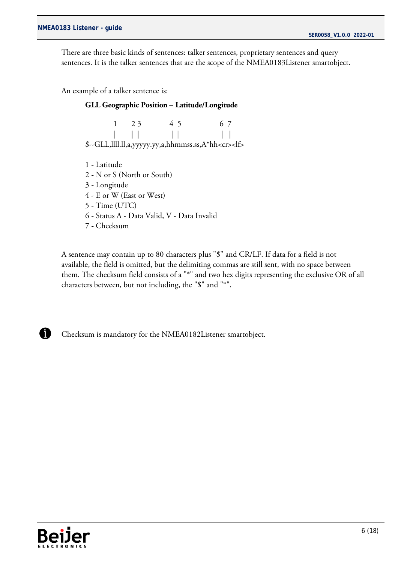There are three basic kinds of sentences: talker sentences, proprietary sentences and query sentences. It is the talker sentences that are the scope of the NMEA0183Listener smartobject.

An example of a talker sentence is:

#### **GLL Geographic Position – Latitude/Longitude**

 $1 \t23 \t45 \t67$  | | | | | | | \$--GLL,llll.ll,a,yyyyy.yy,a,hhmmss.ss,A\*hh<cr><lf>

- 1 Latitude
- 2 N or S (North or South)
- 3 Longitude

4 - E or W (East or West)

- 5 Time (UTC)
- 6 Status A Data Valid, V Data Invalid
- 7 Checksum

A sentence may contain up to 80 characters plus "\$" and CR/LF. If data for a field is not available, the field is omitted, but the delimiting commas are still sent, with no space between them. The checksum field consists of a "\*" and two hex digits representing the exclusive OR of all characters between, but not including, the "\$" and "\*".



Checksum is mandatory for the NMEA0182Listener smartobject.

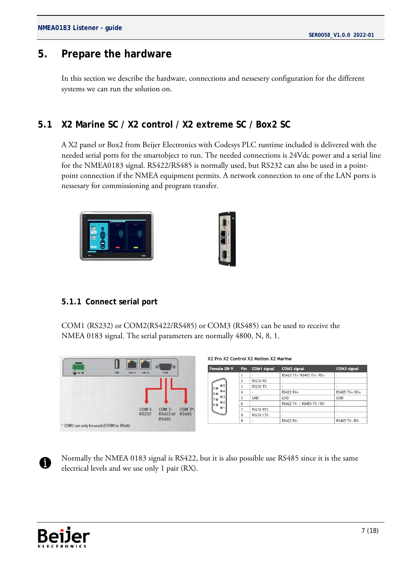# <span id="page-6-0"></span>**5. Prepare the hardware**

In this section we describe the hardware, connections and nessesery configuration for the different systems we can run the solution on.

## <span id="page-6-1"></span>**5.1 X2 Marine SC / X2 control / X2 extreme SC / Box2 SC**

A X2 panel or Box2 from Beijer Electronics with Codesys PLC runtime included is delivered with the needed serial ports for the smartobject to run. The needed connections is 24Vdc power and a serial line for the NMEA0183 signal. RS422/RS485 is normally used, but RS232 can also be used in a pointpoint connection if the NMEA equipment permits. A network connection to one of the LAN ports is nessesary for commissioning and program transfer.





#### **5.1.1 Connect serial port**

COM1 (RS232) or COM2(RS422/RS485) or COM3 (RS485) can be used to receive the NMEA 0183 signal. The serial parameters are normally 4800, N, 8, 1.



| Female DB-9         | <b>Pin</b> | <b>COM1</b> signal | <b>COM2</b> signal        | COM3 signal          |
|---------------------|------------|--------------------|---------------------------|----------------------|
|                     |            |                    | RS422 TX+/RS485 TX+/RX+   |                      |
|                     |            | <b>RS232 RX</b>    | ٠                         | ٠                    |
| $\circ$ 5<br>l9 ●   | ٩          | <b>RS232 TX</b>    | ٠                         |                      |
| $^{\circ}4$<br>l8 o | 4          |                    | <b>RS422 RX+</b>          | RS485 TX+/RX+        |
| ●3                  | 5          | <b>GND</b>         | <b>GND</b>                | <b>GND</b>           |
| $\circ$ 2<br>l6 o   | 6          |                    | RS422 TX- / RS485 TX-/RX- |                      |
| $^{\circ}$ 1        |            | <b>RS232 RTS</b>   | ٠                         |                      |
|                     |            | <b>RS232 CTS</b>   | ٠                         |                      |
|                     | ٥          | ٠                  | <b>RS422 RX-</b>          | <b>RS485 TX-/RX-</b> |

11

Normally the NMEA 0183 signal is RS422, but it is also possible use RS485 since it is the same electrical levels and we use only 1 pair (RX).

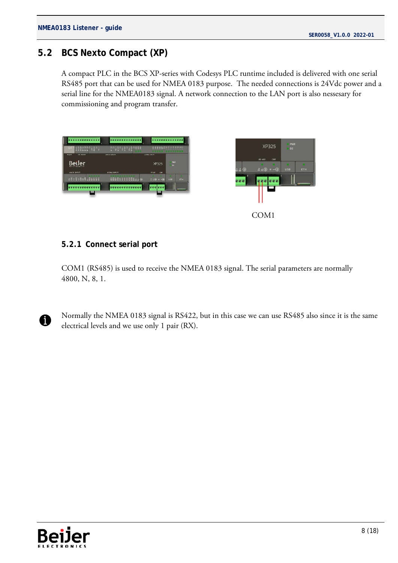## <span id="page-7-0"></span>**5.2 BCS Nexto Compact (XP)**

A compact PLC in the BCS XP-series with Codesys PLC runtime included is delivered with one serial RS485 port that can be used for NMEA 0183 purpose. The needed connections is 24Vdc power and a serial line for the NMEA0183 signal. A network connection to the LAN port is also nessesary for commissioning and program transfer.





#### **5.2.1 Connect serial port**

COM1 (RS485) is used to receive the NMEA 0183 signal. The serial parameters are normally 4800, N, 8, 1.



Normally the NMEA 0183 signal is RS422, but in this case we can use RS485 also since it is the same electrical levels and we use only 1 pair (RX).

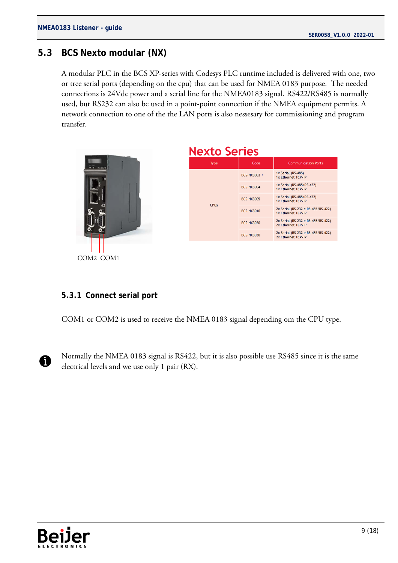## <span id="page-8-0"></span>**5.3 BCS Nexto modular (NX)**

A modular PLC in the BCS XP-series with Codesys PLC runtime included is delivered with one, two or tree serial ports (depending on the cpu) that can be used for NMEA 0183 purpose. The needed connections is 24Vdc power and a serial line for the NMEA0183 signal. RS422/RS485 is normally used, but RS232 can also be used in a point-point connection if the NMEA equipment permits. A network connection to one of the the LAN ports is also nessesary for commissioning and program transfer.

**Nexto Series** 



| <b>Type</b>            | Code              | <b>Communication Ports</b>                               |  |
|------------------------|-------------------|----------------------------------------------------------|--|
|                        | BCS-NX3003 ·      | 1x Serial (RS-485)<br>1x Ethernet TCP/IP                 |  |
|                        | <b>BCS-NX3004</b> | 1x Serial (RS-485/RS-422)<br>1x Ethernet TCP/IP          |  |
| <b>CPU<sub>s</sub></b> | <b>BCS-NX3005</b> | 1x Serial (RS-485/RS-422)<br>1x Ethernet TCP/IP          |  |
|                        | <b>BCS-NX3010</b> | 2x Serial (RS-232 e RS-485/RS-422)<br>1x Ethernet TCP/IP |  |

**BCS-NX3020** 

**BCS-NX3030** 

2x Serial (RS-232 e RS-485/RS-422)<br>2x Ethernet TCP/IP

2x Serial (RS-232 e RS-485/RS-422)<br>2x Ethernet TCP/IP

#### **5.3.1 Connect serial port**

COM1 or COM2 is used to receive the NMEA 0183 signal depending om the CPU type.



Normally the NMEA 0183 signal is RS422, but it is also possible use RS485 since it is the same electrical levels and we use only 1 pair (RX).

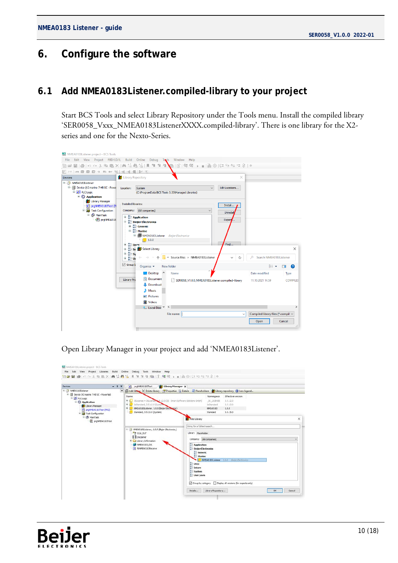# <span id="page-9-0"></span>**6. Configure the software**

### <span id="page-9-1"></span>**6.1 Add NMEA0183Listener.compiled-library to your project**

Start BCS Tools and select Library Repository under the Tools menu. Install the compiled library 'SER0058\_Vxxx\_NMEA0183ListenerXXXX.compiled-library'. There is one library for the X2 series and one for the Nexto-Series.



Open Library Manager in your project and add 'NMEA0183Listener'.



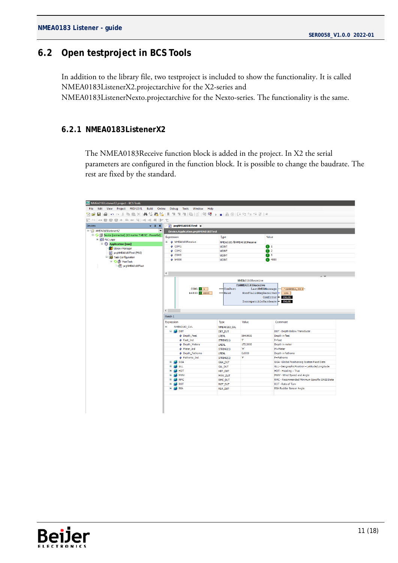## <span id="page-10-0"></span>**6.2 Open testproject in BCS Tools**

In addition to the library file, two testproject is included to show the functionality. It is called NMEA0183ListenerX2.projectarchive for the X2-series and NMEA0183ListenerNexto.projectarchive for the Nexto-series. The functionality is the same.

#### **6.2.1 NMEA0183ListenerX2**

The NMEA0183Receive function block is added in the project. In X2 the serial parameters are configured in the function block. It is possible to change the baudrate. The rest are fixed by the standard.



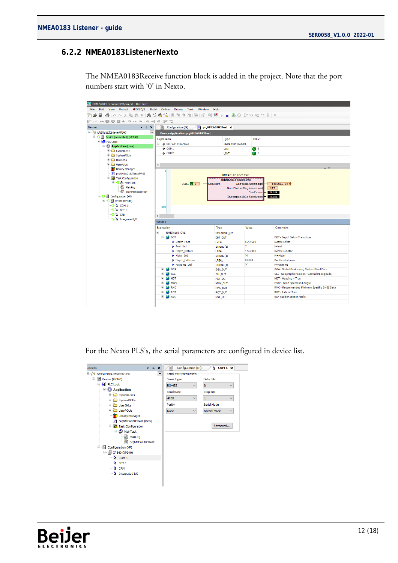#### **6.2.2 NMEA0183ListenerNexto**

The NMEA0183Receive function block is added in the project. Note that the port numbers start with '0' in Nexto.



For the Nexto PLS's, the serial parameters are configured in device list.



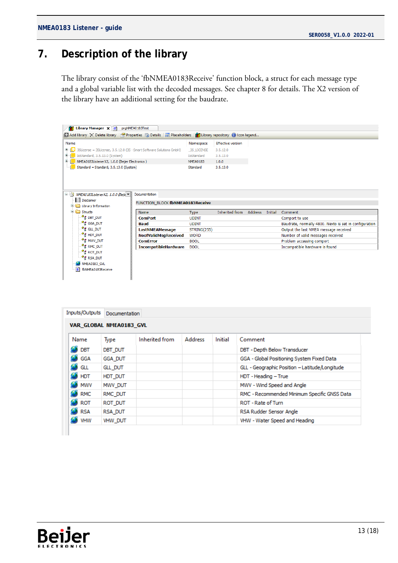# <span id="page-12-0"></span>**7. Description of the library**

The library consist of the 'fbNMEA0183Receive' function block, a struct for each message type and a global variable list with the decoded messages. See chapter 8 for details. The X2 version of the library have an additional setting for the baudrate.

| Library Manager X 1 prgNMEA0183Test                                                                                      |                                  |                          |                |         |                                                        |  |  |
|--------------------------------------------------------------------------------------------------------------------------|----------------------------------|--------------------------|----------------|---------|--------------------------------------------------------|--|--|
| <b>Add library X Delete library Properties Details B</b> Placeholders <b>All</b> Library repository <b>O</b> Icon legend |                                  |                          |                |         |                                                        |  |  |
| Name                                                                                                                     | Namespace                        | <b>Effective version</b> |                |         |                                                        |  |  |
| 田…<br>3SLicense = 3SLicense, 3.5.12.0 (3S - Smart Software Solutions GmbH)                                               | <b>3S LICENSE</b>                | 3.5.12.0                 |                |         |                                                        |  |  |
| 田-<br>IoStandard, 3.5.13.0 (System)                                                                                      | IoStandard                       | 3.5.13.0                 |                |         |                                                        |  |  |
| NMEA0183ListenerX2, 1.0.0 (Beijer Electronics)<br>田.                                                                     | NMEA0183                         | 1.0.0                    |                |         |                                                        |  |  |
| Standard = Standard, 3.5.13.0 (System)                                                                                   | Standard                         | 3.5.13.0                 |                |         |                                                        |  |  |
|                                                                                                                          |                                  |                          |                |         |                                                        |  |  |
|                                                                                                                          |                                  |                          |                |         |                                                        |  |  |
|                                                                                                                          |                                  |                          |                |         |                                                        |  |  |
| Documentation                                                                                                            |                                  |                          |                |         |                                                        |  |  |
| $\Box$ MMEA0183ListenerX2, 1.0.0 (Beije                                                                                  |                                  |                          |                |         |                                                        |  |  |
| Disclaimer                                                                                                               | FUNCTION_BLOCK fbNMEA0183Receive |                          |                |         |                                                        |  |  |
| Library Information                                                                                                      |                                  |                          |                |         |                                                        |  |  |
| <b>Structs</b><br>Name                                                                                                   | <b>Type</b>                      | <b>Inherited from</b>    | <b>Address</b> | Initial | Comment                                                |  |  |
| <sup>.◆</sup> !≴ DBT_DUT<br><b>ComPort</b>                                                                               | <b>UDINT</b>                     |                          |                |         | Comport to use                                         |  |  |
| <sup>◆</sup> ぱ GGA_DUT<br><b>Baud</b>                                                                                    | <b>UDINT</b>                     |                          |                |         | Baudrate, normally 4800. Nexto is set in configuration |  |  |
| <sup>ு</sup> ≴ GLL_DUT<br>LastNMEAMessage                                                                                | STRING(255)                      |                          |                |         | Output the last NMEA message received                  |  |  |
| <sup>◆</sup> ‼ HDT_DUT<br><b>NoofValidMsgReceived</b>                                                                    | <b>WORD</b>                      |                          |                |         | Number of valid messages received                      |  |  |
| <b>ੱ</b> ≴ MWV_DUT<br><b>ComError</b>                                                                                    | <b>BOOL</b>                      |                          |                |         | Problem accessing comport                              |  |  |
| <sup>◆</sup> LE RMC_DUT<br><b>IncompatibleHardware</b>                                                                   | <b>BOOL</b>                      |                          |                |         | Incompatible hardware is found                         |  |  |
| <sup>.◆</sup> ष्टं ROT_DUT                                                                                               |                                  |                          |                |         |                                                        |  |  |
| <sup>.◆</sup> ‼ RSA_DUT                                                                                                  |                                  |                          |                |         |                                                        |  |  |
| NMEA0183 GVL                                                                                                             |                                  |                          |                |         |                                                        |  |  |
| fbNMEA0183Receive                                                                                                        |                                  |                          |                |         |                                                        |  |  |
|                                                                                                                          |                                  |                          |                |         |                                                        |  |  |

|            | VAR GLOBAL NMEA0183 GVL |                |                |         |                                                |
|------------|-------------------------|----------------|----------------|---------|------------------------------------------------|
| Name       | Type                    | Inherited from | <b>Address</b> | Initial | Comment                                        |
| <b>DBT</b> | DBT_DUT                 |                |                |         | DBT - Depth Below Transducer                   |
| <b>GGA</b> | <b>GGA DUT</b>          |                |                |         | GGA - Global Positioning System Fixed Data     |
| GLL        | <b>GLL DUT</b>          |                |                |         | GLL - Geographic Position - Latitude/Longitude |
| <b>HDT</b> | HDT DUT                 |                |                |         | HDT - Heading - True                           |
| <b>MWV</b> | MWV_DUT                 |                |                |         | MWV - Wind Speed and Angle                     |
| <b>RMC</b> | RMC DUT                 |                |                |         | RMC - Recommended Minimum Specific GNSS Data   |
| <b>ROT</b> | ROT DUT                 |                |                |         | ROT - Rate of Turn                             |
| <b>RSA</b> | RSA DUT                 |                |                |         | RSA Rudder Sensor Angle                        |
| VHW        | VHW DUT                 |                |                |         | VHW - Water Speed and Heading                  |

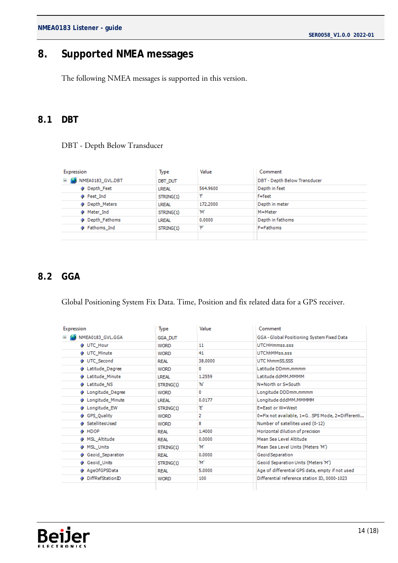# <span id="page-13-0"></span>**8. Supported NMEA messages**

The following NMEA messages is supported in this version.

### <span id="page-13-1"></span>**8.1 DBT**

#### DBT - Depth Below Transducer

| Expression           | Type         | Value    | Comment                      |
|----------------------|--------------|----------|------------------------------|
| NMEA0183 GVL.DBT     | DBT DUT      |          | DBT - Depth Below Transducer |
| Depth Feet           | <b>LREAL</b> | 564,9600 | Depth in feet                |
| ◈ Feet Ind           | STRING(1)    | Ψ        | $f = feet$                   |
| <b>Depth_Meters</b>  | LREAL        | 172,2000 | Depth in meter               |
| ◈ Meter Ind          | STRING(1)    | 'M'      | M=Meter                      |
| Depth Fathoms        | <b>LREAL</b> | 0.0000   | Depth in fathoms             |
| <b>O</b> Fathoms Ind | STRING(1)    | ۳        | F=Fathoms                    |
|                      |              |          |                              |

# <span id="page-13-2"></span>**8.2 GGA**

Global Positioning System Fix Data. Time, Position and fix related data for a GPS receiver.

| Expression                   | Type           | Value   | Comment                                         |
|------------------------------|----------------|---------|-------------------------------------------------|
| NMEA0183_GVL.GGA<br>$\equiv$ | <b>GGA DUT</b> |         | GGA - Global Positioning System Fixed Data      |
| UTC Hour                     | <b>WORD</b>    | 11      | <b>UTCHHmmss.sss</b>                            |
| UTC_Minute                   | <b>WORD</b>    | 41      | UTChhMMss.sss                                   |
| ◈ UTC Second                 | <b>REAL</b>    | 38,0000 | UTC hhmmSS.SSS                                  |
| Latitude_Degree              | <b>WORD</b>    | 0       | Latitude DDmm.mmmm                              |
| <b>S</b> Latitude Minute     | <b>LREAL</b>   | 1.2559  | Latitude ddMM.MMMM                              |
| ◈ Latitude NS                | STRING(1)      | 'N'     | N=North or S=South                              |
| Longitude Degree             | <b>WORD</b>    | 0       | Longitude DDDmm.mmmm                            |
| Longitude_Minute             | <b>LREAL</b>   | 0.0177  | Longitude dddMM.MMMMM                           |
| Longitude_EW                 | STRING(1)      | Έ       | F=Fast or W=West                                |
| ◈ GPS Quality                | <b>WORD</b>    | 2       | 0=Fix not available, 1=GSPS Mode, 2=Differenti  |
| ◈ SatellitesUsed             | <b>WORD</b>    | 8       | Number of satellites used (0-12)                |
| ◈ HDOP                       | <b>REAL</b>    | 1.4000  | Horizontal dilution of precision                |
| ◈ MSL Altitude               | REAL           | 0.0000  | Mean Sea Level Altitude                         |
| MSL Units<br>۰               | STRING(1)      | 'M'     | Mean Sea Level Units (Meters 'M')               |
| Geoid Separation             | <b>REAL</b>    | 0.0000  | Geoid Separation                                |
| Geoid Units<br>۰             | STRING(1)      | 'M'     | Geoid Separation Units (Meters 'M')             |
| AgeOfGPSData                 | <b>REAL</b>    | 5.0000  | Age of differential GPS data, empty if not used |
| DiffRefStationID             | <b>WORD</b>    | 100     | Differential reference station ID, 0000-1023    |
|                              |                |         |                                                 |

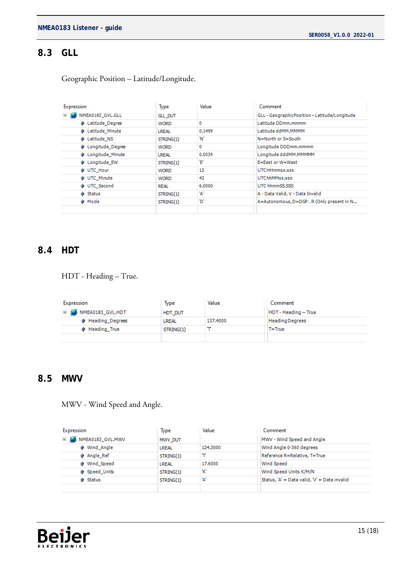# <span id="page-14-0"></span>**8.3 GLL**

| Expression                   | Type           | Value  | Comment                                       |
|------------------------------|----------------|--------|-----------------------------------------------|
| $\equiv$<br>NMEA0183 GVL.GLL | <b>GLL DUT</b> |        | GLL - GeographicPosition - Latitude/Longitude |
| Latitude Degree              | <b>WORD</b>    | 0      | Latitude DDmm.mmmm                            |
| Latitude Minute              | <b>LREAL</b>   | 0.1499 | Latitude ddMM.MMMM                            |
| ◈ Latitude NS                | STRING(1)      | 'N'    | N=North or S=South                            |
| Longitude Degree             | <b>WORD</b>    | 0      | Longitude DDDmm.mmmm                          |
| <b>Congitude Minute</b>      | LREAL          | 0.0039 | Longitude dddMM.MMMMM                         |
| <b>EW</b> Longitude EW       | STRING(1)      | Έ      | E=East or W=West                              |
| ◈ UTC Hour                   | <b>WORD</b>    | 13     | UTCHHmmss.sss                                 |
| UTC_Minute                   | <b>WORD</b>    | 43     | UTChhMMss.sss                                 |
| UTC Second                   | <b>REAL</b>    | 6,0000 | UTC hhmmSS.SSS                                |
| ◈ Status                     | STRING(1)      | 'A'    | A - Data Valid, V - Data Invalid              |
| ◈ Mode                       | STRING(1)      | 'D'    | A=Autonomous, D=DGPR (Only present in N       |
|                              |                |        |                                               |

Geographic Position – Latitude/Longitude.

## <span id="page-14-1"></span>**8.4 HDT**

| Expression       | Type         | Value    | Comment                |
|------------------|--------------|----------|------------------------|
| NMEA0183_GVL.HDT | HDT DUT      |          | HDT - Heading - True   |
| Heading Degrees  | <b>LREAL</b> | 137,4000 | <b>Heading Degrees</b> |
| Heading True     | STRING(1)    | ᠇        | T=True                 |
|                  |              |          |                        |

## <span id="page-14-2"></span>**8.5 MWV**

MWV - Wind Speed and Angle.

| Expression                  | Type         | Value    | Comment                                      |
|-----------------------------|--------------|----------|----------------------------------------------|
| <b>E S</b> NMEA0183_GVL.MWV | MWV DUT      |          | MWV - Wind Speed and Angle                   |
| ◈ Wind Angle                | <b>LREAL</b> | 124,3000 | Wind Angle 0-360 degrees                     |
| Angle Ref                   | STRING(1)    |          | Reference R=Relative, T=True                 |
| ◈ Wind Speed                | <b>LREAL</b> | 17,6000  | Wind Speed                                   |
| Speed Units                 | STRING(1)    | 'K'      | Wind Speed Units K/M/N                       |
| ◈ Status                    | STRING(1)    | 'A'      | Status, 'A' = Data valid, 'V' = Data invalid |
|                             |              |          |                                              |

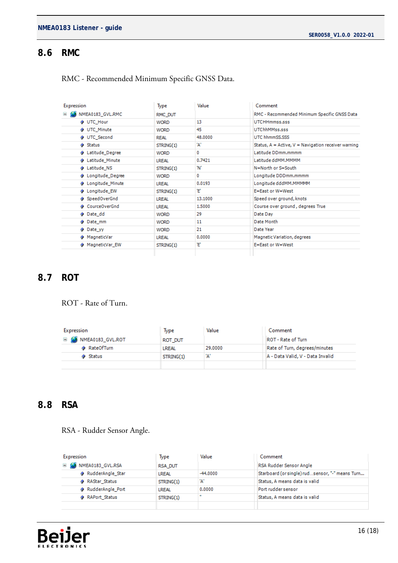## <span id="page-15-0"></span>**8.6 RMC**

| RMC - Recommended Minimum Specific GNSS Data. |  |  |  |
|-----------------------------------------------|--|--|--|
|-----------------------------------------------|--|--|--|

| RMC DUT<br>13<br><b>WORD</b><br>45<br><b>WORD</b><br>48,0000<br>'Aʻ<br>STRING(1)<br>0<br>WORD<br>0.7421<br>'N'<br>STRING(1) | RMC - Recommended Minimum Specific GNSS Data<br><b>UTCHHmmss.sss</b><br>UTChhMMss.sss<br>UTC hhmmSS.SSS<br>Latitude DDmm.mmmm<br>Latitude ddMM.MMMM<br>N=North or S=South |
|-----------------------------------------------------------------------------------------------------------------------------|---------------------------------------------------------------------------------------------------------------------------------------------------------------------------|
|                                                                                                                             |                                                                                                                                                                           |
|                                                                                                                             | Status, A = Active, V = Navigation receiver warning                                                                                                                       |
|                                                                                                                             |                                                                                                                                                                           |
|                                                                                                                             |                                                                                                                                                                           |
|                                                                                                                             |                                                                                                                                                                           |
|                                                                                                                             |                                                                                                                                                                           |
|                                                                                                                             |                                                                                                                                                                           |
|                                                                                                                             |                                                                                                                                                                           |
| 0<br><b>WORD</b>                                                                                                            | Longitude DDDmm.mmmm                                                                                                                                                      |
| 0.0193                                                                                                                      | Longitude dddMM.MMMMM                                                                                                                                                     |
| Έ<br>STRING(1)                                                                                                              | E=East or W=West                                                                                                                                                          |
| 13,1000                                                                                                                     | Speed over ground, knots                                                                                                                                                  |
| 1.5000                                                                                                                      | Course over ground , degrees True                                                                                                                                         |
| 29                                                                                                                          | Date Day                                                                                                                                                                  |
| 11                                                                                                                          | Date Month                                                                                                                                                                |
| 21                                                                                                                          | Date Year                                                                                                                                                                 |
| 0.0000                                                                                                                      | Magnetic Variation, degrees                                                                                                                                               |
|                                                                                                                             | E=East or W=West                                                                                                                                                          |
| <b>WORD</b>                                                                                                                 | <b>WORD</b><br><b>WORD</b><br>Έ<br>STRING(1)                                                                                                                              |

# <span id="page-15-1"></span>**8.7 ROT**

# ROT - Rate of Turn.

| Expression              | Type      | Value   | Comment                          |
|-------------------------|-----------|---------|----------------------------------|
| NMEA0183_GVL.ROT        | ROT DUT   |         | <b>ROT</b> - Rate of Turn        |
| <b>&amp;</b> RateOfTurn | LREAL     | 29,0000 | Rate of Turn, degrees/minutes    |
| ◈ Status                | STRING(1) | 'A'     | A - Data Valid, V - Data Invalid |
|                         |           |         |                                  |

## <span id="page-15-2"></span>**8.8 RSA**

# RSA - Rudder Sensor Angle.

| Expression                 | Type           | Value      | Comment                                         |
|----------------------------|----------------|------------|-------------------------------------------------|
| NMEA0183_GVL.RSA           | <b>RSA DUT</b> |            | RSA Rudder Sensor Angle                         |
| RudderAngle Star           | LREAL          | $-44,0000$ | Starboard (or single) rudsensor, "-" means Turn |
| <b>A</b> RAStar Status     | STRING(1)      | 'А'        | Status, A means data is valid                   |
| RudderAngle Port           | LREAL          | 0.0000     | Port rudder sensor                              |
| <b>&amp;</b> RAPort Status | STRING(1)      | $\bullet$  | Status, A means data is valid                   |
|                            |                |            |                                                 |

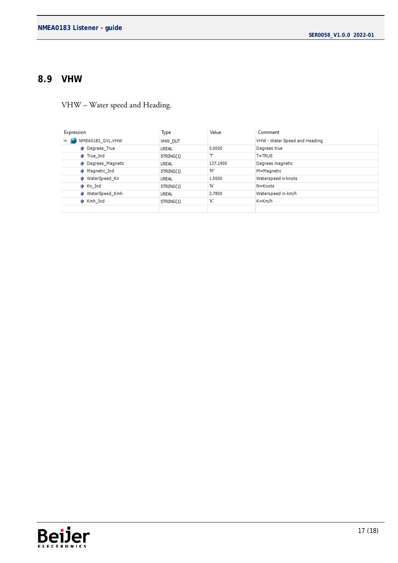## <span id="page-16-0"></span>**8.9 VHW**

| VHW - Water speed and Heading. |  |
|--------------------------------|--|
|--------------------------------|--|

| Expression                              | Type           | Value    | Comment                       |
|-----------------------------------------|----------------|----------|-------------------------------|
| NMEA0183_GVL.VHW<br>$\equiv \mathbf{A}$ | <b>VHW DUT</b> |          | VHW - Water Speed and Heading |
| <b>Degrees True</b>                     | <b>LREAL</b>   | 0.0000   | Degrees true                  |
| ◈ True Ind                              | STRING(1)      | т        | <b>T=TRUE</b>                 |
| <b>Degrees Magnetic</b>                 | <b>LREAL</b>   | 137,1900 | Degrees magnetic              |
| ◈ Magnetic Ind                          | STRING(1)      | 'M'      | M=Magnetic                    |
| WaterSpeed Kn                           | <b>LREAL</b>   | 1.5000   | Waterspeed in knots           |
| ◈ Kn Ind                                | STRING(1)      | 'N'      | $N =$ Knots                   |
| WaterSpeed Kmh                          | <b>LREAL</b>   | 2.7800   | Waterspeed in km/h            |
| ◈ Kmh Ind                               | STRING(1)      | 'K'      | $K = Km/h$                    |
|                                         |                |          |                               |